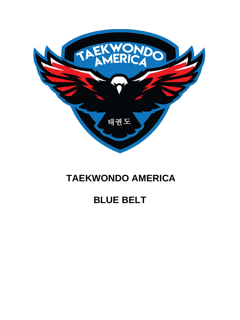

## **TAEKWONDO AMERICA**

# **BLUE BELT**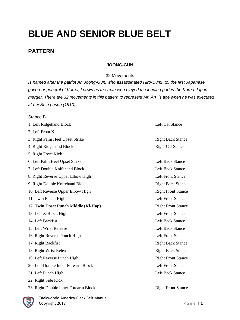# **BLUE AND SENIOR BLUE BELT**

## **PATTERN**

## **JOONG-GUN**

#### 32 Movements

*Is named after the patriot An Joong-Gun, who assassinated Hiro-Bumi Ito, the first Japanese governor general of Korea, known as the man who played the leading part in the Korea-Japan merger. There are 32 movements in this pattern to represent Mr. An 's age when he was executed at Lui-Shin prison (1910).*

### Stance B

| 1. Left Ridgehand Block              | Left Cat Stance           |
|--------------------------------------|---------------------------|
| 2. Left Front Kick                   |                           |
| 3. Right Palm Heel Upset Strike      | <b>Right Back Stance</b>  |
| 4. Right Ridgehand Block             | <b>Right Cat Stance</b>   |
| 5. Right Front Kick                  |                           |
| 6. Left Palm Heel Upset Strike       | <b>Left Back Stance</b>   |
| 7. Left Double Knifehand Block       | <b>Left Back Stance</b>   |
| 8. Right Reverse Upper Elbow High    | <b>Left Front Stance</b>  |
| 9. Right Double Knifehand Block      | <b>Right Back Stance</b>  |
| 10. Left Reverse Upper Elbow High    | <b>Right Front Stance</b> |
| 11. Twin Punch High                  | <b>Left Front Stance</b>  |
| 12. Twin Upset Punch Middle (Ki-Hap) | <b>Right Front Stance</b> |
| 13. Left X-Block High                | <b>Left Front Stance</b>  |
| 14. Left Backfist                    | <b>Left Back Stance</b>   |
| 15. Left Wrist Release               | <b>Left Back Stance</b>   |
| 16. Right Reverse Punch High         | <b>Left Front Stance</b>  |
| 17. Right Backfist                   | <b>Right Back Stance</b>  |
| 18. Right Wrist Release              | <b>Right Back Stance</b>  |
| 19. Left Reverse Punch High          | <b>Right Front Stance</b> |
| 20. Left Double Inner Forearm Block  | <b>Left Front Stance</b>  |
| 21. Left Punch High                  | <b>Left Back Stance</b>   |
| 22. Right Side Kick                  |                           |
| 23. Right Double Inner Forearm Block | <b>Right Front Stance</b> |